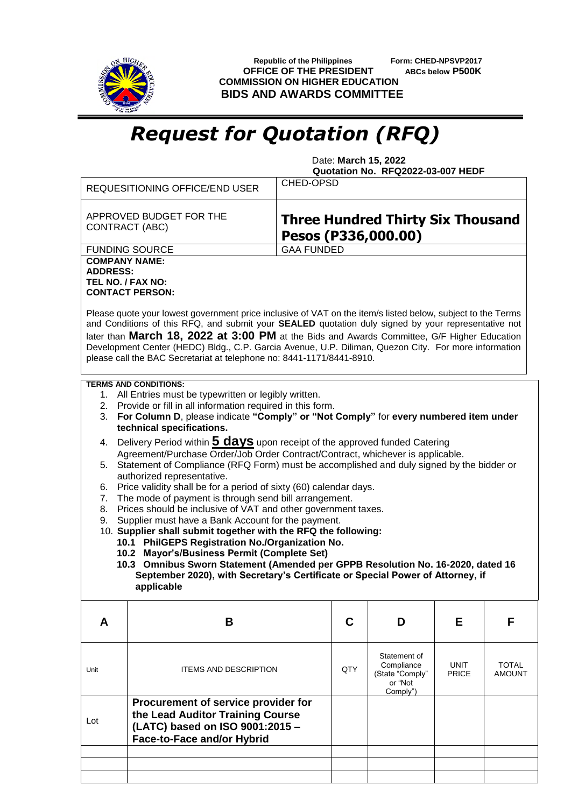

 **Republic of the Philippines Form: CHED-NPSVP2017 OFFICE OF THE PRESIDENT ABCs below P500K COMMISSION ON HIGHER EDUCATION BIDS AND AWARDS COMMITTEE**

## *Request for Quotation (RFQ)*

 Date: **March 15, 2022 Quotation No. RFQ2022-03-007 HEDF**

|                                                                                                                                                                                                                                                                                                                                                                                                                                                                                                                                                                                                                                                                                                                                                                                                                                                                                                                                                                                                                                                                                                                                                                                                                              | <b>REQUESITIONING OFFICE/END USER</b>                                                                                                    | <b>CHED-OPSD</b>                                                |     |                                                                      |                             |                               |  |  |
|------------------------------------------------------------------------------------------------------------------------------------------------------------------------------------------------------------------------------------------------------------------------------------------------------------------------------------------------------------------------------------------------------------------------------------------------------------------------------------------------------------------------------------------------------------------------------------------------------------------------------------------------------------------------------------------------------------------------------------------------------------------------------------------------------------------------------------------------------------------------------------------------------------------------------------------------------------------------------------------------------------------------------------------------------------------------------------------------------------------------------------------------------------------------------------------------------------------------------|------------------------------------------------------------------------------------------------------------------------------------------|-----------------------------------------------------------------|-----|----------------------------------------------------------------------|-----------------------------|-------------------------------|--|--|
| APPROVED BUDGET FOR THE<br>CONTRACT (ABC)                                                                                                                                                                                                                                                                                                                                                                                                                                                                                                                                                                                                                                                                                                                                                                                                                                                                                                                                                                                                                                                                                                                                                                                    |                                                                                                                                          | <b>Three Hundred Thirty Six Thousand</b><br>Pesos (P336,000.00) |     |                                                                      |                             |                               |  |  |
|                                                                                                                                                                                                                                                                                                                                                                                                                                                                                                                                                                                                                                                                                                                                                                                                                                                                                                                                                                                                                                                                                                                                                                                                                              | <b>FUNDING SOURCE</b>                                                                                                                    | <b>GAA FUNDED</b>                                               |     |                                                                      |                             |                               |  |  |
| <b>COMPANY NAME:</b><br><b>ADDRESS:</b><br>TEL NO. / FAX NO:<br><b>CONTACT PERSON:</b><br>Please quote your lowest government price inclusive of VAT on the item/s listed below, subject to the Terms<br>and Conditions of this RFQ, and submit your SEALED quotation duly signed by your representative not<br>later than March 18, 2022 at 3:00 PM at the Bids and Awards Committee, G/F Higher Education<br>Development Center (HEDC) Bldg., C.P. Garcia Avenue, U.P. Diliman, Quezon City. For more information                                                                                                                                                                                                                                                                                                                                                                                                                                                                                                                                                                                                                                                                                                          |                                                                                                                                          |                                                                 |     |                                                                      |                             |                               |  |  |
| please call the BAC Secretariat at telephone no: 8441-1171/8441-8910.                                                                                                                                                                                                                                                                                                                                                                                                                                                                                                                                                                                                                                                                                                                                                                                                                                                                                                                                                                                                                                                                                                                                                        |                                                                                                                                          |                                                                 |     |                                                                      |                             |                               |  |  |
| <b>TERMS AND CONDITIONS:</b><br>1. All Entries must be typewritten or legibly written.<br>2. Provide or fill in all information required in this form.<br>For Column D, please indicate "Comply" or "Not Comply" for every numbered item under<br>3.<br>technical specifications.<br>4. Delivery Period within <b>5 days</b> upon receipt of the approved funded Catering<br>Agreement/Purchase Order/Job Order Contract/Contract, whichever is applicable.<br>5. Statement of Compliance (RFQ Form) must be accomplished and duly signed by the bidder or<br>authorized representative.<br>Price validity shall be for a period of sixty (60) calendar days.<br>6.<br>The mode of payment is through send bill arrangement.<br>7.<br>Prices should be inclusive of VAT and other government taxes.<br>8.<br>Supplier must have a Bank Account for the payment.<br>9.<br>10. Supplier shall submit together with the RFQ the following:<br>10.1 PhilGEPS Registration No./Organization No.<br>10.2 Mayor's/Business Permit (Complete Set)<br>10.3 Omnibus Sworn Statement (Amended per GPPB Resolution No. 16-2020, dated 16<br>September 2020), with Secretary's Certificate or Special Power of Attorney, if<br>applicable |                                                                                                                                          |                                                                 |     |                                                                      |                             |                               |  |  |
| A                                                                                                                                                                                                                                                                                                                                                                                                                                                                                                                                                                                                                                                                                                                                                                                                                                                                                                                                                                                                                                                                                                                                                                                                                            | B                                                                                                                                        |                                                                 | C   | D                                                                    | Е                           | F                             |  |  |
| Unit                                                                                                                                                                                                                                                                                                                                                                                                                                                                                                                                                                                                                                                                                                                                                                                                                                                                                                                                                                                                                                                                                                                                                                                                                         | <b>ITEMS AND DESCRIPTION</b>                                                                                                             |                                                                 | QTY | Statement of<br>Compliance<br>(State "Comply"<br>or "Not<br>Comply") | <b>UNIT</b><br><b>PRICE</b> | <b>TOTAL</b><br><b>AMOUNT</b> |  |  |
| Lot                                                                                                                                                                                                                                                                                                                                                                                                                                                                                                                                                                                                                                                                                                                                                                                                                                                                                                                                                                                                                                                                                                                                                                                                                          | Procurement of service provider for<br>the Lead Auditor Training Course<br>(LATC) based on ISO 9001:2015 -<br>Face-to-Face and/or Hybrid |                                                                 |     |                                                                      |                             |                               |  |  |
|                                                                                                                                                                                                                                                                                                                                                                                                                                                                                                                                                                                                                                                                                                                                                                                                                                                                                                                                                                                                                                                                                                                                                                                                                              |                                                                                                                                          |                                                                 |     |                                                                      |                             |                               |  |  |
|                                                                                                                                                                                                                                                                                                                                                                                                                                                                                                                                                                                                                                                                                                                                                                                                                                                                                                                                                                                                                                                                                                                                                                                                                              |                                                                                                                                          |                                                                 |     |                                                                      |                             |                               |  |  |
|                                                                                                                                                                                                                                                                                                                                                                                                                                                                                                                                                                                                                                                                                                                                                                                                                                                                                                                                                                                                                                                                                                                                                                                                                              |                                                                                                                                          |                                                                 |     |                                                                      |                             |                               |  |  |